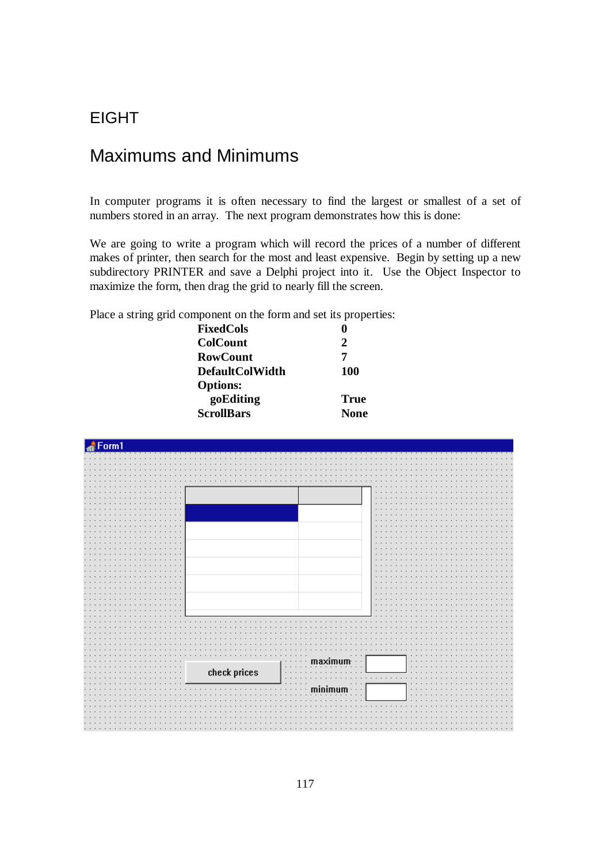## EIGHT

# Maximums and Minimums

In computer programs it is often necessary to find the largest or smallest of a set of numbers stored in an array. The next program demonstrates how this is done:

We are going to write a program which will record the prices of a number of different makes of printer, then search for the most and least expensive. Begin by setting up a new subdirectory PRINTER and save a Delphi project into it. Use the Object Inspector to maximize the form, then drag the grid to nearly fill the screen.

Place a string grid component on the form and set its properties:

| <b>FixedCols</b>       |             |
|------------------------|-------------|
| <b>ColCount</b>        | 2           |
| <b>RowCount</b>        | 7           |
| <b>DefaultColWidth</b> | <b>100</b>  |
| <b>Options:</b>        |             |
| goEditing              | <b>True</b> |
| <b>ScrollBars</b>      | <b>None</b> |
|                        |             |

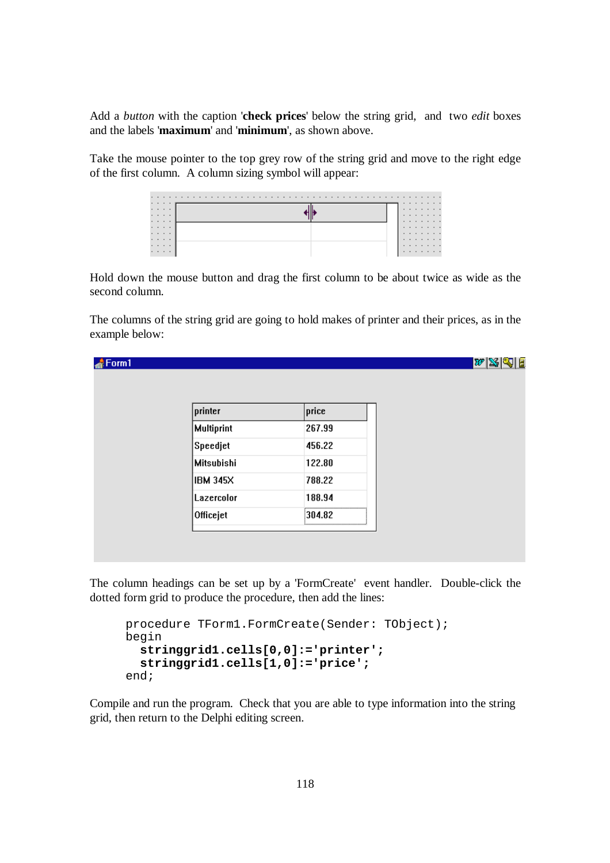Add a *button* with the caption '**check prices**' below the string grid, and two *edit* boxes and the labels '**maximum**' and '**minimum**', as shown above.

Take the mouse pointer to the top grey row of the string grid and move to the right edge of the first column. A column sizing symbol will appear:

| . |   |  |  | . |  |
|---|---|--|--|---|--|
|   | . |  |  | . |  |
| . |   |  |  | . |  |
|   | . |  |  | . |  |
| . |   |  |  | . |  |
|   | . |  |  | . |  |
|   | . |  |  | . |  |
|   | . |  |  | . |  |
|   | . |  |  | . |  |

Hold down the mouse button and drag the first column to be about twice as wide as the second column.

The columns of the string grid are going to hold makes of printer and their prices, as in the example below:

| Form1 |                   |        | $ w \mathbb{X} \mathbb{Q} $ $\mathbb{E}% \left\vert \mathbb{X}\right\vert \mathbb{X}$ |
|-------|-------------------|--------|---------------------------------------------------------------------------------------|
|       |                   |        |                                                                                       |
|       |                   |        |                                                                                       |
|       | printer           | price  |                                                                                       |
|       | <b>Multiprint</b> | 267.99 |                                                                                       |
|       | Speedjet          | 456.22 |                                                                                       |
|       | <b>Mitsubishi</b> | 122.80 |                                                                                       |
|       | <b>IBM 345X</b>   | 788.22 |                                                                                       |
|       | Lazercolor        | 188.94 |                                                                                       |
|       | Officejet         | 304.82 |                                                                                       |
|       |                   |        |                                                                                       |
|       |                   |        |                                                                                       |

The column headings can be set up by a 'FormCreate' event handler. Double-click the dotted form grid to produce the procedure, then add the lines:

```
procedure TForm1.FormCreate(Sender: TObject); 
begin 
   stringgrid1.cells[0,0]:='printer'; 
   stringgrid1.cells[1,0]:='price'; 
end;
```
Compile and run the program. Check that you are able to type information into the string grid, then return to the Delphi editing screen.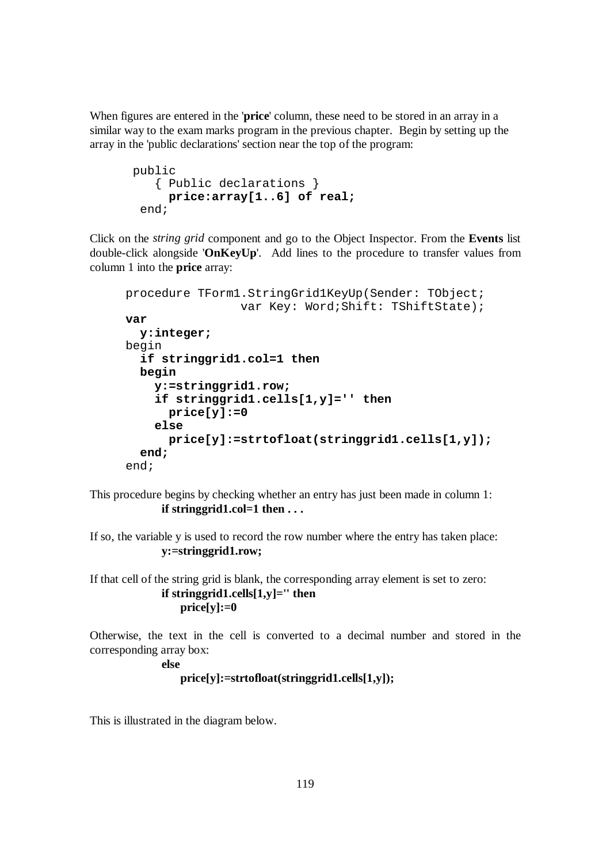When figures are entered in the '**price**' column, these need to be stored in an array in a similar way to the exam marks program in the previous chapter. Begin by setting up the array in the 'public declarations' section near the top of the program:

```
 public 
    { Public declarations } 
      price:array[1..6] of real; 
  end;
```
Click on the *string grid* component and go to the Object Inspector. From the **Events** list double-click alongside '**OnKeyUp**'. Add lines to the procedure to transfer values from column 1 into the **price** array:

```
procedure TForm1.StringGrid1KeyUp(Sender: TObject; 
                  var Key: Word;Shift: TShiftState); 
var 
   y:integer; 
begin 
   if stringgrid1.col=1 then 
   begin 
     y:=stringgrid1.row; 
     if stringgrid1.cells[1,y]='' then 
       price[y]:=0 
     else 
       price[y]:=strtofloat(stringgrid1.cells[1,y]);
   end; 
end;
```
This procedure begins by checking whether an entry has just been made in column 1: **if stringgrid1.col=1 then . . .**

If so, the variable y is used to record the row number where the entry has taken place: **y:=stringgrid1.row;** 

If that cell of the string grid is blank, the corresponding array element is set to zero: **if stringgrid1.cells[1,y]='' then**   $price[y]:=0$ 

Otherwise, the text in the cell is converted to a decimal number and stored in the corresponding array box:

**else** 

```
 price[y]:=strtofloat(stringgrid1.cells[1,y]);
```
This is illustrated in the diagram below.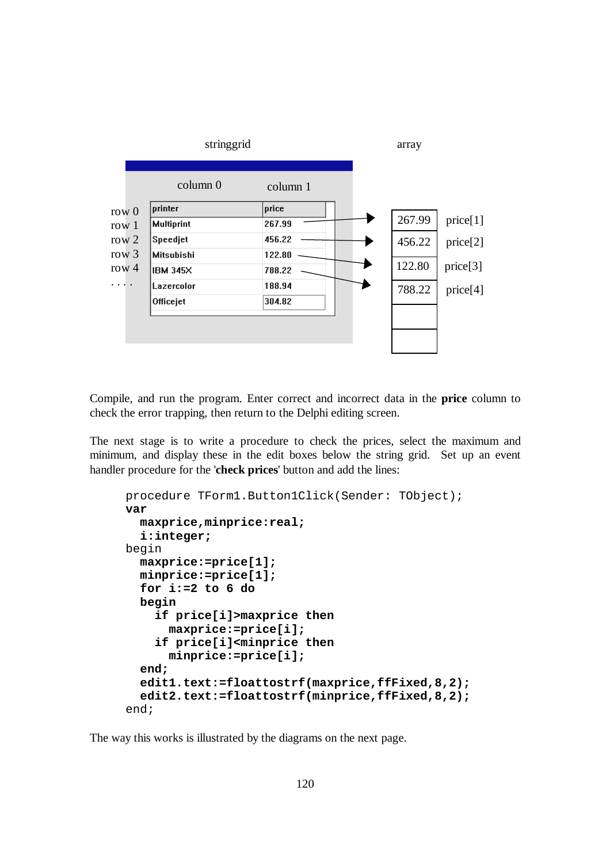

Compile, and run the program. Enter correct and incorrect data in the **price** column to check the error trapping, then return to the Delphi editing screen.

The next stage is to write a procedure to check the prices, select the maximum and minimum, and display these in the edit boxes below the string grid. Set up an event handler procedure for the '**check prices**' button and add the lines:

```
procedure TForm1.Button1Click(Sender: TObject); 
var 
   maxprice,minprice:real; 
   i:integer; 
begin 
   maxprice:=price[1]; 
   minprice:=price[1]; 
   for i:=2 to 6 do 
   begin 
     if price[i]>maxprice then 
       maxprice:=price[i]; 
     if price[i]<minprice then 
       minprice:=price[i]; 
   end; 
   edit1.text:=floattostrf(maxprice,ffFixed,8,2); 
   edit2.text:=floattostrf(minprice,ffFixed,8,2); 
end;
```
The way this works is illustrated by the diagrams on the next page.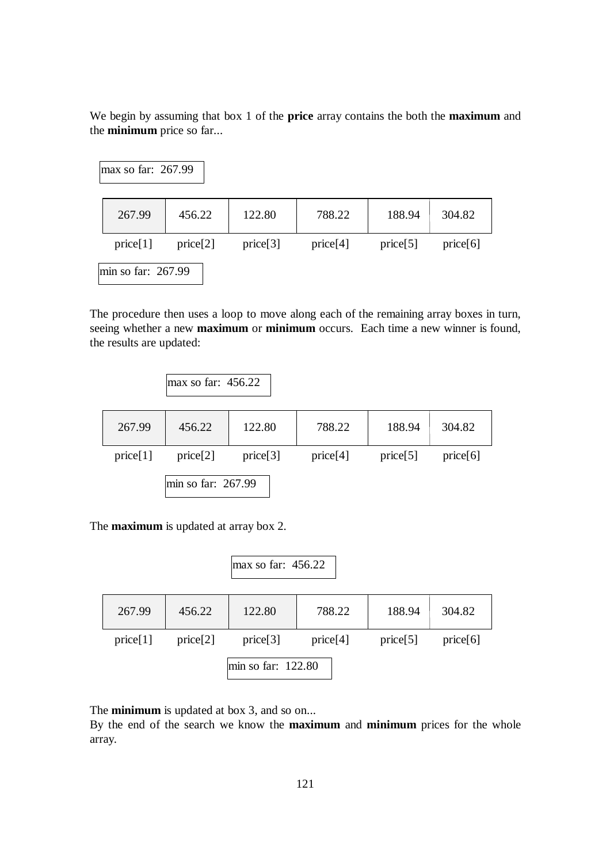We begin by assuming that box 1 of the **price** array contains the both the **maximum** and the **minimum** price so far...

| $\text{max}$ so far: 267.99 |          |          |          |          |          |
|-----------------------------|----------|----------|----------|----------|----------|
| 267.99                      | 456.22   | 122.80   | 788.22   | 188.94   | 304.82   |
| price[1]                    | price[2] | price[3] | price[4] | price[5] | price[6] |
| $\text{min}$ so far: 267.99 |          |          |          |          |          |

The procedure then uses a loop to move along each of the remaining array boxes in turn, seeing whether a new **maximum** or **minimum** occurs. Each time a new winner is found, the results are updated:

|          | $\text{max}$ so far: 456.22 |          |          |          |          |
|----------|-----------------------------|----------|----------|----------|----------|
| 267.99   | 456.22                      | 122.80   | 788.22   | 188.94   | 304.82   |
| price[1] | price[2]                    | price[3] | price[4] | price[5] | price[6] |
|          | min so far: $267.99$        |          |          |          |          |

The **maximum** is updated at array box 2.

|          |          | max so far: $456.22$ |          |          |          |
|----------|----------|----------------------|----------|----------|----------|
| 267.99   | 456.22   | 122.80               | 788.22   | 188.94   | 304.82   |
| price[1] | price[2] | price[3]             | price[4] | price[5] | price[6] |
|          |          | min so far: 122.80   |          |          |          |

The **minimum** is updated at box 3, and so on...

By the end of the search we know the **maximum** and **minimum** prices for the whole array.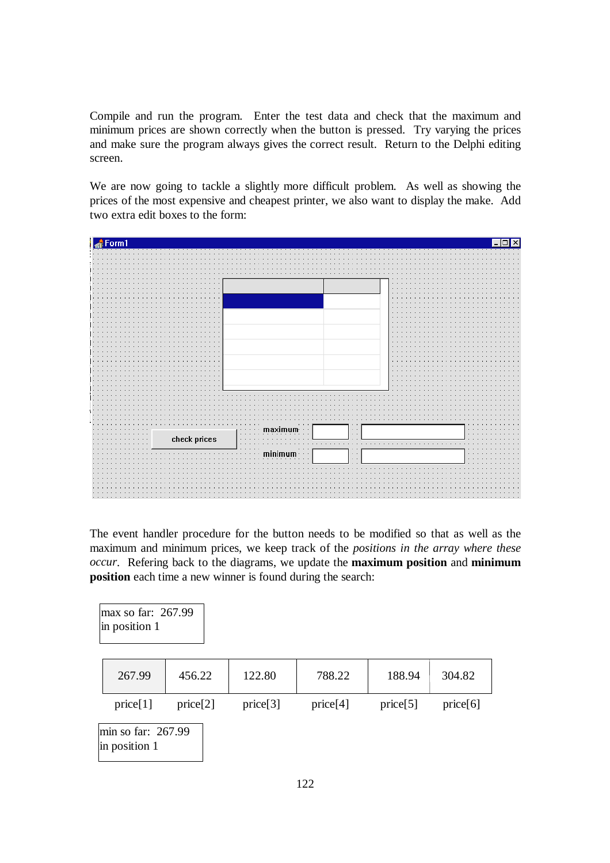Compile and run the program. Enter the test data and check that the maximum and minimum prices are shown correctly when the button is pressed. Try varying the prices and make sure the program always gives the correct result. Return to the Delphi editing screen.

We are now going to tackle a slightly more difficult problem. As well as showing the prices of the most expensive and cheapest printer, we also want to display the make. Add two extra edit boxes to the form:



The event handler procedure for the button needs to be modified so that as well as the maximum and minimum prices, we keep track of the *positions in the array where these occur*. Refering back to the diagrams, we update the **maximum position** and **minimum position** each time a new winner is found during the search:

| max so far: 267.99<br>in position 1          |          |          |          |          |          |
|----------------------------------------------|----------|----------|----------|----------|----------|
| 267.99                                       | 456.22   | 122.80   | 788.22   | 188.94   | 304.82   |
| price[1]                                     | price[2] | price[3] | price[4] | price[5] | price[6] |
| $\text{min}$ so far: 267.99<br>in position 1 |          |          |          |          |          |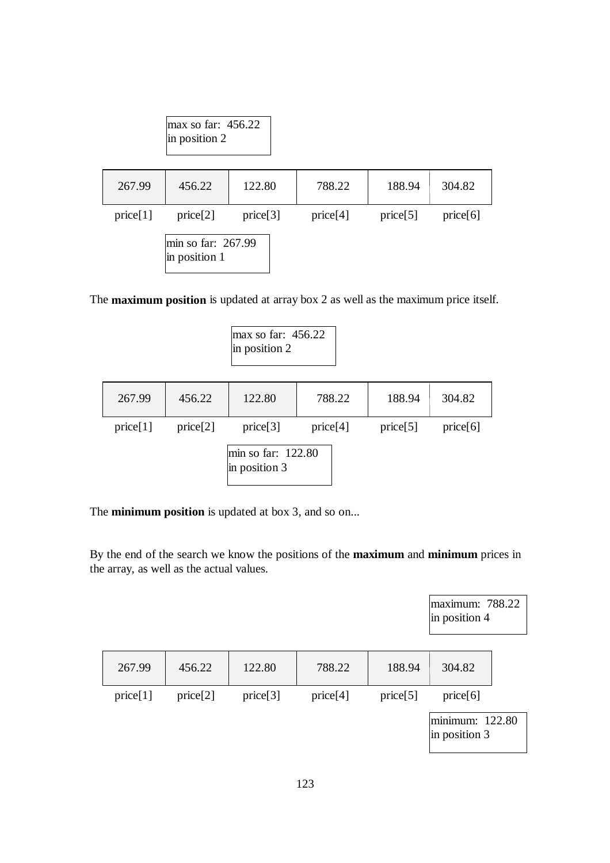|          | max so far: $456.22$<br>$\ln$ position 2 |          |          |          |          |
|----------|------------------------------------------|----------|----------|----------|----------|
| 267.99   | 456.22                                   | 122.80   | 788.22   | 188.94   | 304.82   |
| price[1] | price[2]                                 | price[3] | price[4] | price[5] | price[6] |
|          | min so far: 267.99<br>in position 1      |          |          |          |          |

The **maximum position** is updated at array box 2 as well as the maximum price itself.

max so far: 456.22 in position 2

| 267.99   | 456.22   | 122.80                                          | 788.22   | 188.94   | 304.82   |
|----------|----------|-------------------------------------------------|----------|----------|----------|
| price[1] | price[2] | price[3]<br>min so far: 122.80<br>in position 3 | price[4] | price[5] | price[6] |

The **minimum position** is updated at box 3, and so on...

By the end of the search we know the positions of the **maximum** and **minimum** prices in the array, as well as the actual values.

> maximum: 788.22 in position 4

| 267.99   | 456.22   | 122.80   | 788.22   | 188.94   | 304.82                                |  |
|----------|----------|----------|----------|----------|---------------------------------------|--|
| price[1] | price[2] | price[3] | price[4] | price[5] | price[6]                              |  |
|          |          |          |          |          | lminimum: 122.80<br>$\sin$ position 3 |  |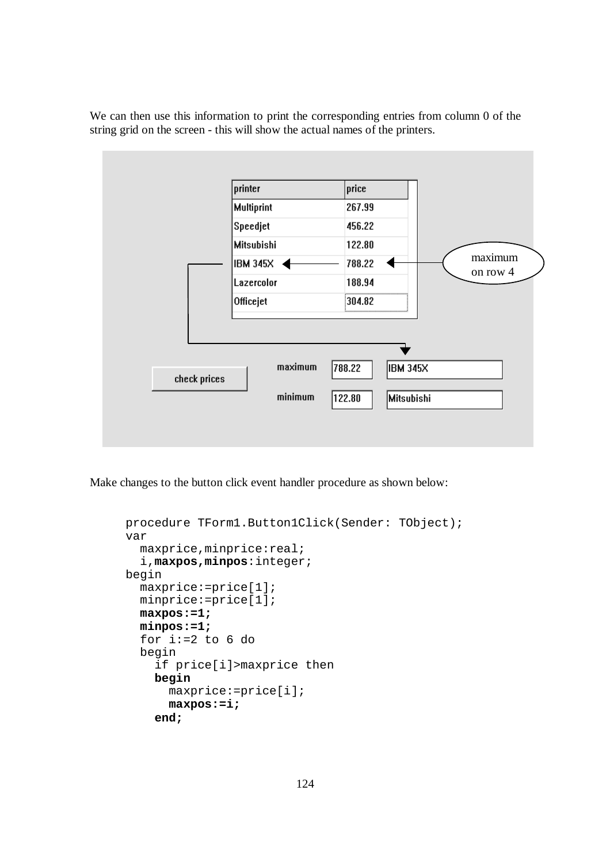We can then use this information to print the corresponding entries from column 0 of the string grid on the screen - this will show the actual names of the printers.



Make changes to the button click event handler procedure as shown below:

```
procedure TForm1.Button1Click(Sender: TObject); 
var 
   maxprice,minprice:real; 
   i,maxpos,minpos:integer; 
begin 
   maxprice:=price[1]; 
   minprice:=price[1]; 
   maxpos:=1; 
   minpos:=1; 
   for i:=2 to 6 do 
   begin 
     if price[i]>maxprice then 
     begin 
       maxprice:=price[i]; 
       maxpos:=i; 
     end;
```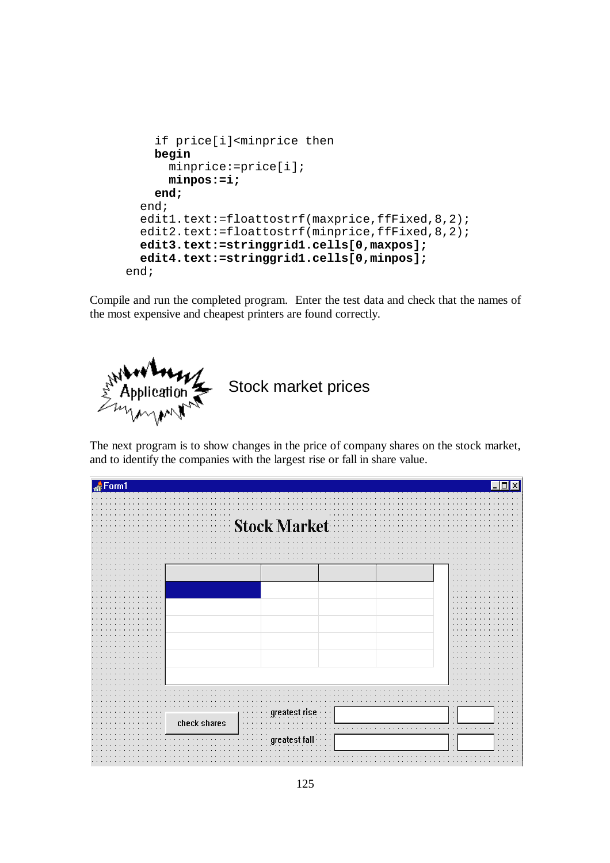```
 if price[i]<minprice then 
     begin 
       minprice:=price[i]; 
       minpos:=i; 
     end; 
   end; 
  edit1.text:=floattostrf(maxprice,ffFixed, 8, 2);
  edit2.text:=floattostrf(minprice,ffFixed, 8, 2);
   edit3.text:=stringgrid1.cells[0,maxpos]; 
   edit4.text:=stringgrid1.cells[0,minpos]; 
end;
```
Compile and run the completed program. Enter the test data and check that the names of the most expensive and cheapest printers are found correctly.



The next program is to show changes in the price of company shares on the stock market, and to identify the companies with the largest rise or fall in share value.

| nrm1                                        |                                      |
|---------------------------------------------|--------------------------------------|
|                                             | $\cdots$                             |
|                                             |                                      |
|                                             |                                      |
| $\cdots$                                    | $\bullet$                            |
|                                             | <b>Stock Market</b>                  |
|                                             |                                      |
|                                             |                                      |
|                                             | .<br>$\sim$<br>$\sim$                |
|                                             |                                      |
|                                             |                                      |
|                                             |                                      |
|                                             | $\sim$                               |
| $\cdots$                                    | $\cdot$ $\cdot$                      |
|                                             |                                      |
| $\mathbf{r}$                                | ×.                                   |
|                                             | $\sim$                               |
|                                             | $\sim$                               |
|                                             |                                      |
| $\cdot$ $\cdot$                             | $\cdot$ $\cdot$                      |
|                                             |                                      |
|                                             |                                      |
| $\overline{\phantom{a}}$                    |                                      |
| $\cdots$                                    | $\cdots$<br>$\sim$ $\sim$            |
| $\cdot$                                     |                                      |
| $\overline{\phantom{a}}$<br>$\cdot$ $\cdot$ | $\cdot$ $\cdot$                      |
| ٠.                                          |                                      |
| $\ddot{\phantom{1}}$<br>$\cdot$             | $\sim$                               |
| $\overline{\phantom{a}}$                    | ×.                                   |
| $\cdots$                                    | $\sim$                               |
| ٠.<br>$\mathbf{r}$                          | $\mathbf{r}$ .                       |
|                                             |                                      |
|                                             |                                      |
|                                             |                                      |
|                                             |                                      |
|                                             | st rise<br>.<br>$\cdots$<br>$\cdots$ |
| $\cdots$                                    | $\cdots$<br>$\mathbf{r}$<br>.        |
| check shares<br>$\cdots$                    | $\cdot$ $\cdot$<br><b>1999</b>       |
|                                             | $\sim$<br>.                          |
|                                             |                                      |
|                                             | areatest fai<br>.<br>.<br>$\epsilon$ |
|                                             | $\cdot$<br>$\sim$<br>.               |
|                                             |                                      |
|                                             |                                      |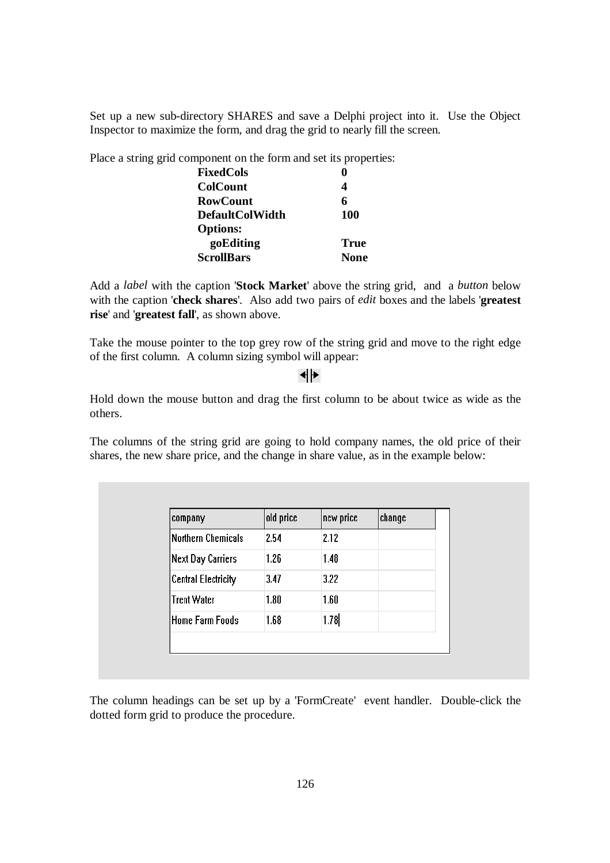Set up a new sub-directory SHARES and save a Delphi project into it. Use the Object Inspector to maximize the form, and drag the grid to nearly fill the screen.

Place a string grid component on the form and set its properties:

| <b>FixedCols</b>       | 0           |
|------------------------|-------------|
| <b>ColCount</b>        | 4           |
| <b>RowCount</b>        | 6           |
| <b>DefaultColWidth</b> | 100         |
| <b>Options:</b>        |             |
| goEditing              | True        |
| <b>ScrollBars</b>      | <b>None</b> |
|                        |             |

Add a *label* with the caption '**Stock Market**' above the string grid, and a *button* below with the caption '**check shares**'. Also add two pairs of *edit* boxes and the labels '**greatest rise**' and '**greatest fall**', as shown above.

Take the mouse pointer to the top grey row of the string grid and move to the right edge of the first column. A column sizing symbol will appear:

## ┫┣

Hold down the mouse button and drag the first column to be about twice as wide as the others.

The columns of the string grid are going to hold company names, the old price of their shares, the new share price, and the change in share value, as in the example below:

| company                    | old price | new price | change |
|----------------------------|-----------|-----------|--------|
| Northern Chemicals         | 2.54      | 2.12      |        |
| <b>Next Day Carriers</b>   | 1.26      | 1.48      |        |
| <b>Central Electricity</b> | 3.47      | 3.22      |        |
| <b>Trent Water</b>         | 1.80      | 1.60      |        |
| <b>Home Farm Foods</b>     | 1.68      | 1.78      |        |

The column headings can be set up by a 'FormCreate' event handler. Double-click the dotted form grid to produce the procedure.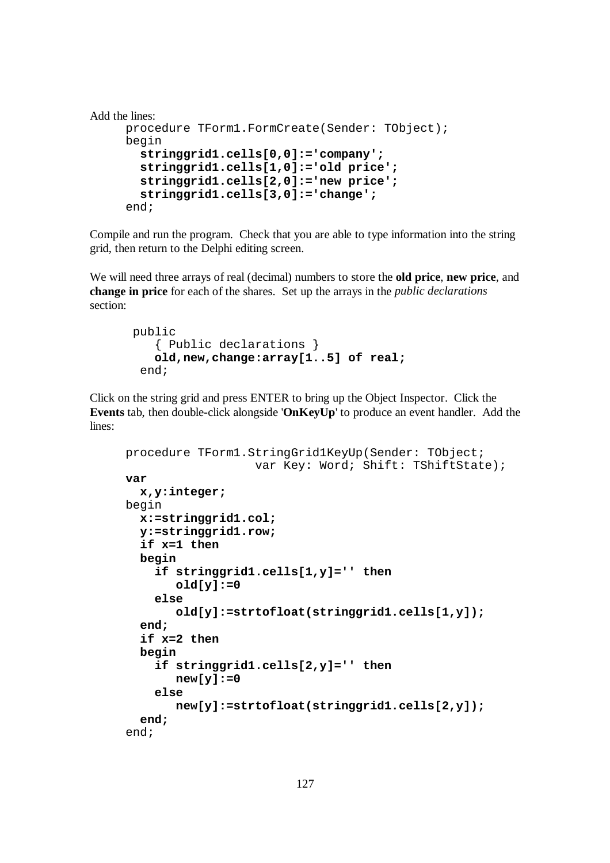```
Add the lines:
     procedure TForm1.FormCreate(Sender: TObject); 
     begin 
        stringgrid1.cells[0,0]:='company'; 
        stringgrid1.cells[1,0]:='old price'; 
        stringgrid1.cells[2,0]:='new price'; 
        stringgrid1.cells[3,0]:='change'; 
     end;
```
Compile and run the program. Check that you are able to type information into the string grid, then return to the Delphi editing screen.

We will need three arrays of real (decimal) numbers to store the **old price**, **new price**, and **change in price** for each of the shares. Set up the arrays in the *public declarations*  section:

```
 public 
    { Public declarations } 
    old,new,change:array[1..5] of real; 
  end;
```
Click on the string grid and press ENTER to bring up the Object Inspector. Click the **Events** tab, then double-click alongside '**OnKeyUp**' to produce an event handler. Add the lines:

```
procedure TForm1.StringGrid1KeyUp(Sender: TObject; 
                     var Key: Word; Shift: TShiftState); 
var 
   x,y:integer; 
begin 
   x:=stringgrid1.col; 
   y:=stringgrid1.row; 
   if x=1 then 
   begin 
     if stringgrid1.cells[1,y]='' then 
         old[y]:=0 
     else 
         old[y]:=strtofloat(stringgrid1.cells[1,y]); 
   end; 
   if x=2 then 
   begin 
     if stringgrid1.cells[2,y]='' then 
         new[y]:=0 
     else 
         new[y]:=strtofloat(stringgrid1.cells[2,y]); 
   end; 
end;
```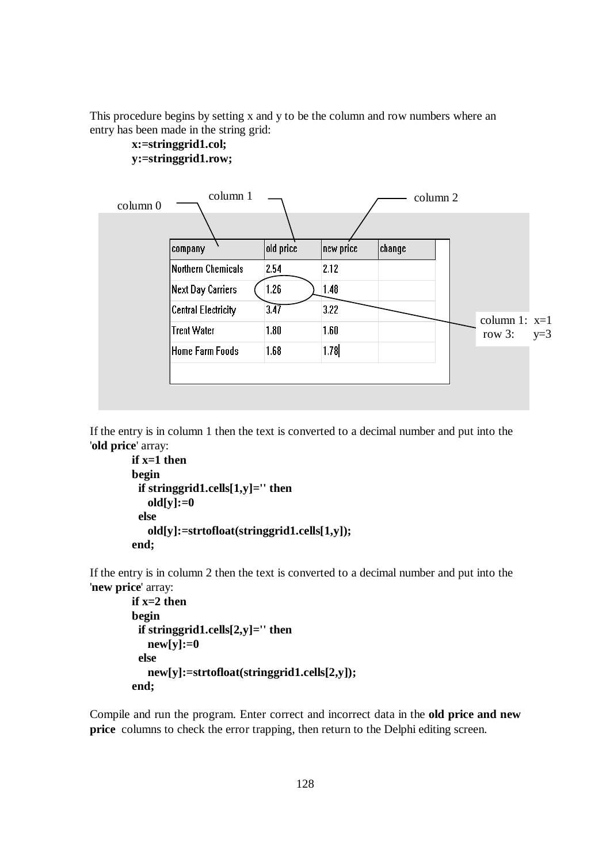This procedure begins by setting x and y to be the column and row numbers where an entry has been made in the string grid:



#### **x:=stringgrid1.col; y:=stringgrid1.row;**

If the entry is in column 1 then the text is converted to a decimal number and put into the '**old price**' array:

```
 if x=1 then 
 begin 
  if stringgrid1.cells[1,y]='' then 
    old[y]:=0 
  else 
    old[y]:=strtofloat(stringgrid1.cells[1,y]); 
 end;
```
If the entry is in column 2 then the text is converted to a decimal number and put into the '**new price**' array:

```
if x=2 then begin 
  if stringgrid1.cells[2,y]='' then 
    new[y]:=0 
  else 
    new[y]:=strtofloat(stringgrid1.cells[2,y]); 
 end;
```
Compile and run the program. Enter correct and incorrect data in the **old price and new price** columns to check the error trapping, then return to the Delphi editing screen.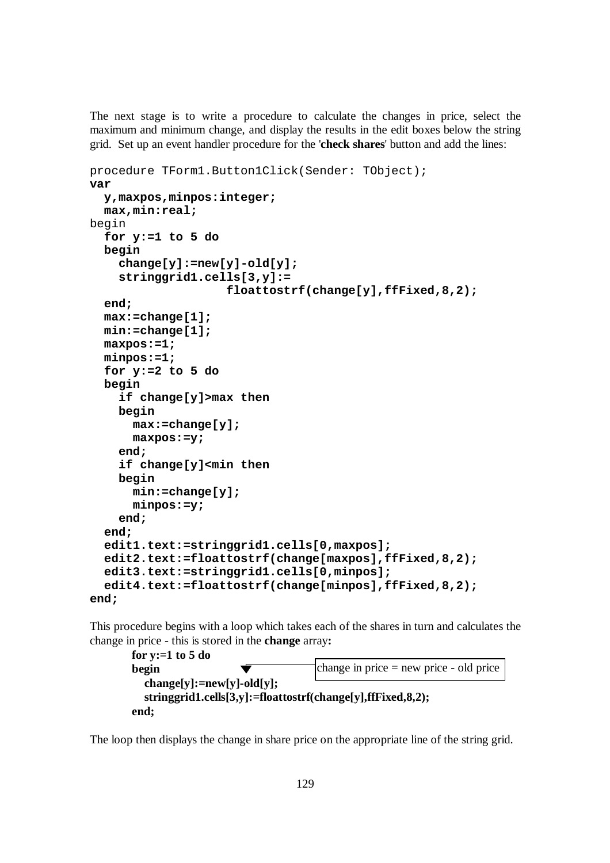The next stage is to write a procedure to calculate the changes in price, select the maximum and minimum change, and display the results in the edit boxes below the string grid. Set up an event handler procedure for the '**check shares**' button and add the lines:

```
procedure TForm1.Button1Click(Sender: TObject); 
var 
   y,maxpos,minpos:integer; 
   max,min:real; 
begin 
   for y:=1 to 5 do 
   begin 
     change[y]:=new[y]-old[y]; 
     stringgrid1.cells[3,y]:= 
                      floattostrf(change[y],ffFixed,8,2); 
   end; 
   max:=change[1]; 
   min:=change[1]; 
   maxpos:=1; 
   minpos:=1; 
   for y:=2 to 5 do 
   begin 
     if change[y]>max then 
     begin 
       max:=change[y]; 
       maxpos:=y; 
     end; 
     if change[y]<min then 
     begin 
       min:=change[y]; 
       minpos:=y; 
     end; 
   end; 
   edit1.text:=stringgrid1.cells[0,maxpos]; 
   edit2.text:=floattostrf(change[maxpos],ffFixed,8,2); 
   edit3.text:=stringgrid1.cells[0,minpos]; 
   edit4.text:=floattostrf(change[minpos],ffFixed,8,2); 
end;
```
This procedure begins with a loop which takes each of the shares in turn and calculates the change in price - this is stored in the **change** array**:**

```
 for y:=1 to 5 do 
 begin 
   change[y]:=new[y]-old[y]; 
   stringgrid1.cells[3,y]:=floattostrf(change[y],ffFixed,8,2); 
 end; 
                                        change in price = new price - old price
```
The loop then displays the change in share price on the appropriate line of the string grid.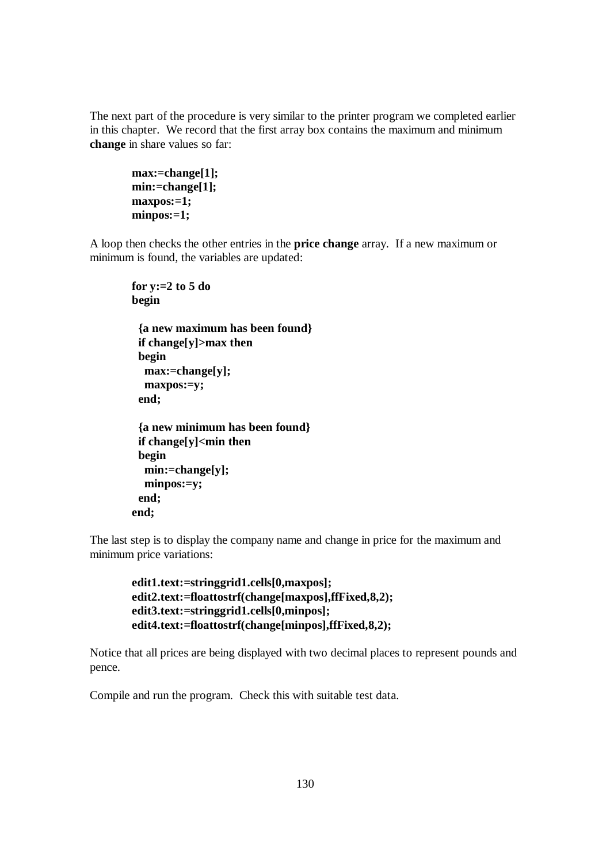The next part of the procedure is very similar to the printer program we completed earlier in this chapter. We record that the first array box contains the maximum and minimum **change** in share values so far:

```
 max:=change[1]; 
 min:=change[1]; 
 maxpos:=1; 
 minpos:=1;
```
A loop then checks the other entries in the **price change** array. If a new maximum or minimum is found, the variables are updated:

```
 for y:=2 to 5 do 
 begin 
  {a new maximum has been found} 
  if change[y]>max then 
  begin 
   max:=change[y]; 
   maxpos:=y; 
  end; 
  {a new minimum has been found} 
  if change[y]<min then 
  begin 
   min:=change[y]; 
   minpos:=y; 
  end; 
 end;
```
The last step is to display the company name and change in price for the maximum and minimum price variations:

```
 edit1.text:=stringgrid1.cells[0,maxpos]; 
 edit2.text:=floattostrf(change[maxpos],ffFixed,8,2); 
 edit3.text:=stringgrid1.cells[0,minpos]; 
 edit4.text:=floattostrf(change[minpos],ffFixed,8,2);
```
Notice that all prices are being displayed with two decimal places to represent pounds and pence.

Compile and run the program. Check this with suitable test data.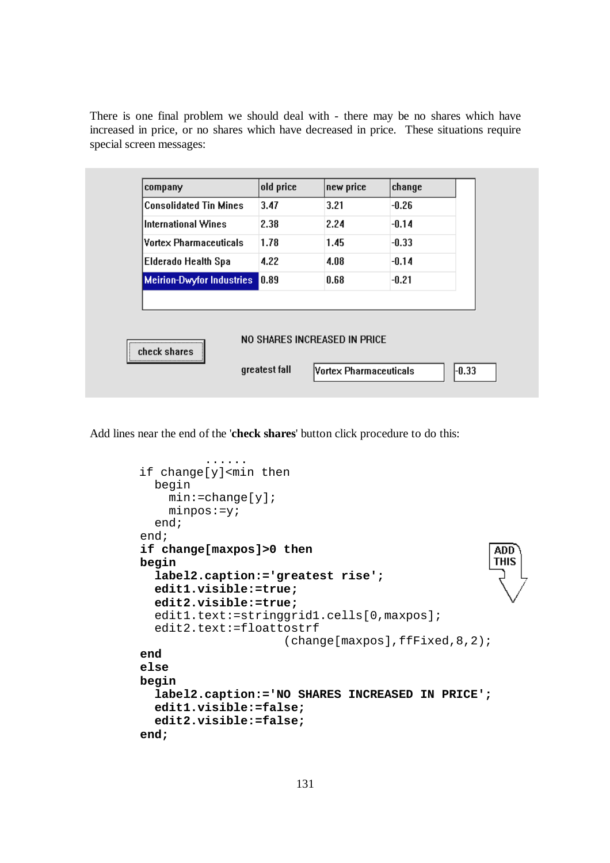There is one final problem we should deal with - there may be no shares which have increased in price, or no shares which have decreased in price. These situations require special screen messages:

| company                          | old price | new price                     | change  |
|----------------------------------|-----------|-------------------------------|---------|
| <b>Consolidated Tin Mines</b>    | 3.47      | 3.21                          | $-0.26$ |
| <b>International Wines</b>       | 2.38      | 2.24                          | $-0.14$ |
| <b>Vortex Pharmaceuticals</b>    | 1.78      | 1.45                          | $-0.33$ |
| <b>Elderado Health Spa</b>       | 4.22      | 4.08                          | $-0.14$ |
| <b>Meirion-Dwyfor Industries</b> | 0.89      | 0.68                          | $-0.21$ |
| check shares                     |           | NO SHARES INCREASED IN PRICE. |         |

Add lines near the end of the '**check shares**' button click procedure to do this:

```
 ...... 
 if change[y]<min then 
   begin 
     min:=change[y]; 
    minpos:=y; end; 
 end; 
 if change[maxpos]>0 then 
                                                        ADD
                                                        THIS
 begin 
   label2.caption:='greatest rise'; 
   edit1.visible:=true; 
   edit2.visible:=true; 
  edit1.text:=stringgrid1.cells[0,maxpos];
   edit2.text:=floattostrf 
                        (change[maxpos],ffFixed,8,2);
 end 
 else 
 begin 
   label2.caption:='NO SHARES INCREASED IN PRICE';
   edit1.visible:=false; 
   edit2.visible:=false; 
 end;
```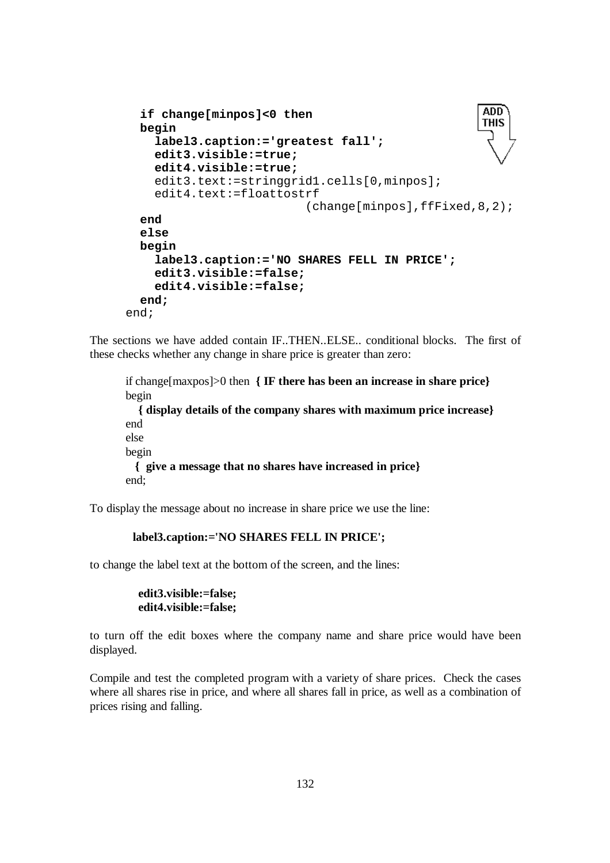```
ADD
   if change[minpos]<0 then 
                                                        THIS
   begin 
     label3.caption:='greatest fall'; 
     edit3.visible:=true; 
     edit4.visible:=true; 
    edit3.text:=stringgrid1.cells[0,minpos];
     edit4.text:=floattostrf 
                             (change[minpos],ffFixed,8,2); 
   end 
   else 
   begin 
     label3.caption:='NO SHARES FELL IN PRICE'; 
     edit3.visible:=false; 
     edit4.visible:=false; 
   end; 
end;
```
The sections we have added contain IF..THEN..ELSE.. conditional blocks. The first of these checks whether any change in share price is greater than zero:

if change[maxpos]>0 then **{ IF there has been an increase in share price}**  begin  **{ display details of the company shares with maximum price increase}**  end else begin **{ give a message that no shares have increased in price}**  end;

To display the message about no increase in share price we use the line:

#### **label3.caption:='NO SHARES FELL IN PRICE';**

to change the label text at the bottom of the screen, and the lines:

 **edit3.visible:=false; edit4.visible:=false;** 

to turn off the edit boxes where the company name and share price would have been displayed.

Compile and test the completed program with a variety of share prices. Check the cases where all shares rise in price, and where all shares fall in price, as well as a combination of prices rising and falling.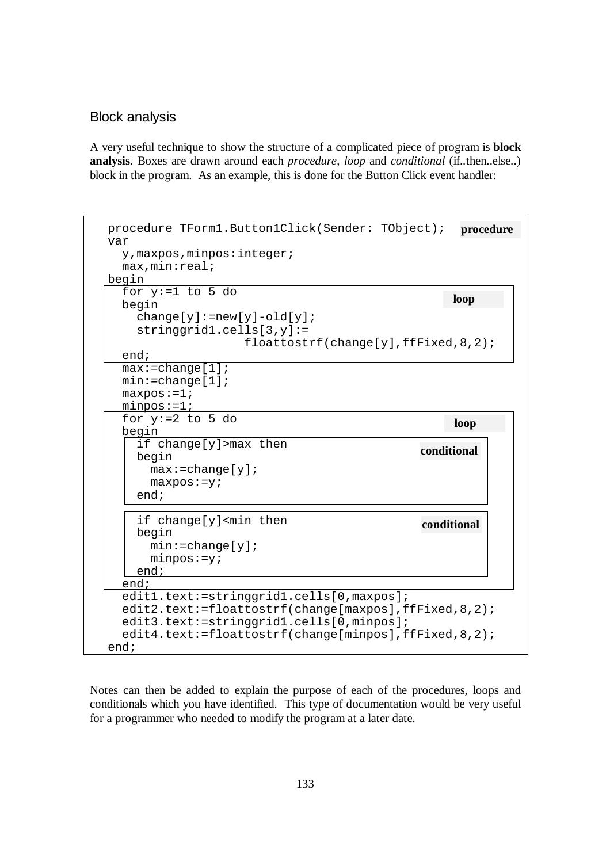### Block analysis

A very useful technique to show the structure of a complicated piece of program is **block analysis**. Boxes are drawn around each *procedure*, *loop* and *conditional* (if..then..else..) block in the program. As an example, this is done for the Button Click event handler:

|                                                                                                                  | loop        |
|------------------------------------------------------------------------------------------------------------------|-------------|
| begin<br>$change[y] := new[y] - old[y]$ ;<br>$stringgrid1.cells[3,y]:=$<br>floattostrf(charge[y],ffFixed,8,2);   |             |
| end;                                                                                                             |             |
| $max:=change[1]$<br>$min:=change[1]$<br>$maxpos := 1;$<br>$minpos := 1;$                                         |             |
| for $y:=2$ to 5 do                                                                                               | loop        |
| begin<br>if change[y]>max then<br>begin<br>$max:=change[y]$                                                      | conditional |
| $maxpos := y;$<br>end;                                                                                           |             |
| if change[y] <min then<br="">begin<br/><math>min:=change[y]</math>;<br/><math>minpos := y;</math><br/>end;</min> | conditional |
|                                                                                                                  |             |

Notes can then be added to explain the purpose of each of the procedures, loops and conditionals which you have identified. This type of documentation would be very useful for a programmer who needed to modify the program at a later date.